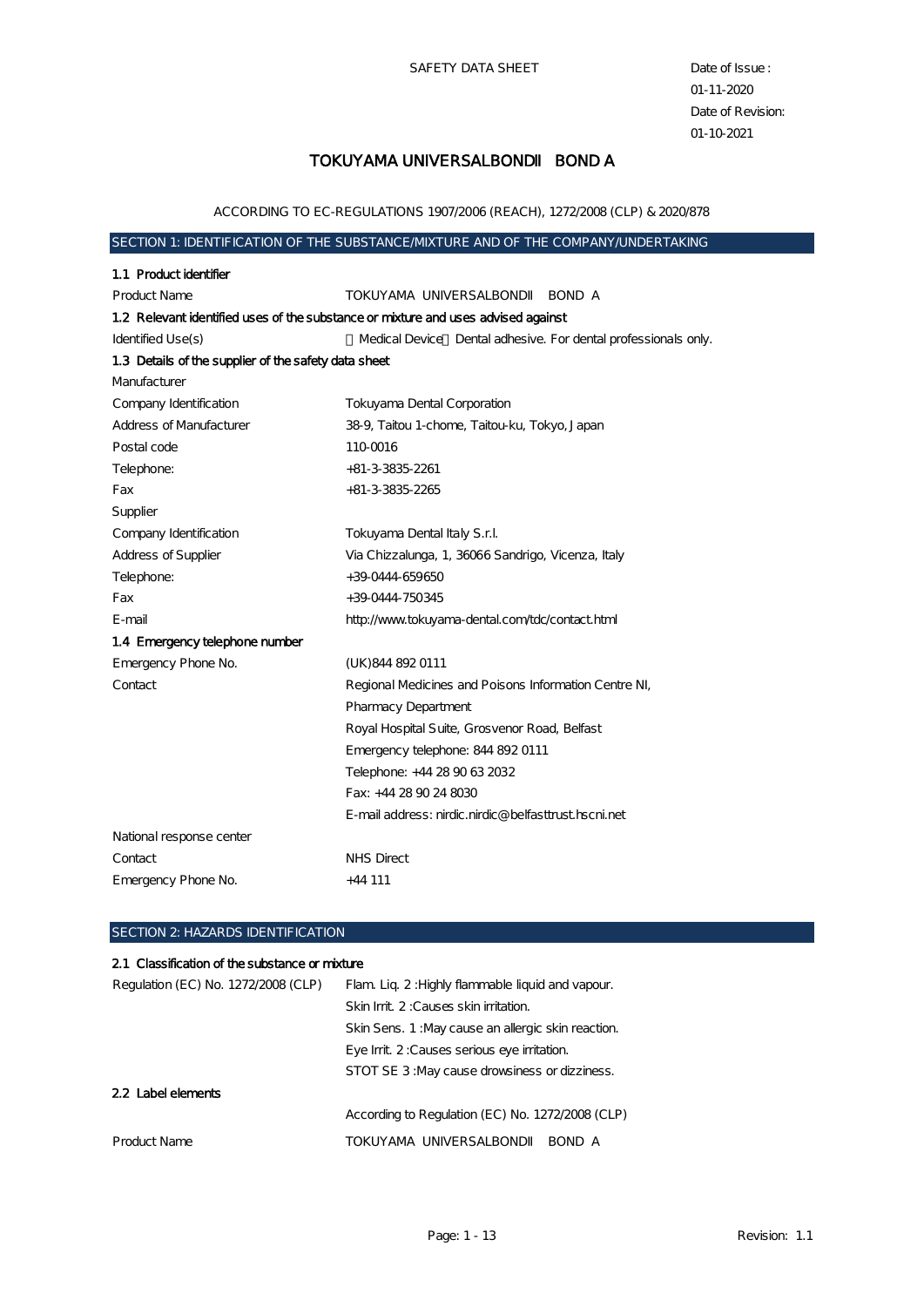SAFETY DATA SHEET Date of Issue :

## TOKUYAMA UNIVERSALBOND BOND A

ACCORDING TO EC-REGULATIONS 1907/2006 (REACH), 1272/2008 (CLP) & 2020/878

## SECTION 1: IDENTIFICATION OF THE SUBSTANCE MIXTURE AND OF THE COMPANY UNDERTAKING

| 1.1 Product identifier                                                            |                                                                |
|-----------------------------------------------------------------------------------|----------------------------------------------------------------|
| <b>Product Name</b>                                                               | TOKUYAMA UNIVERSALBOND<br>BOND A                               |
| 1.2 Relevant identified uses of the substance or mixture and uses advised against |                                                                |
| Identified Use(s)                                                                 | Medical Device Dental adhesive. For dental professionals only. |
| 1.3 Details of the supplier of the safety data sheet                              |                                                                |
| Manufacturer                                                                      |                                                                |
| Company Identification                                                            | <b>Tokuyama Dental Corporation</b>                             |
| <b>Address of Manufacturer</b>                                                    | 38-9, Taitou 1-chome, Taitou-ku, Tokyo, Japan                  |
| Postal code                                                                       | 110-0016                                                       |
| Telephone:                                                                        | $+81-3-3835-2261$                                              |
| Fax                                                                               | +81-3-3835-2265                                                |
| Supplier                                                                          |                                                                |
| Company Identification                                                            | Tokuyama Dental Italy S.r.l.                                   |
| Address of Supplier                                                               | Via Chizzalunga, 1, 36066 Sandrigo, Vicenza, Italy             |
| Telephone:                                                                        | +39 0444 659650                                                |
| Fax                                                                               | +39 0444-750345                                                |
| E-mail                                                                            | http://www.tokuyama-dental.com/tdc/contact.html                |
| 1.4 Emergency telephone number                                                    |                                                                |
| Emergency Phone No.                                                               | (UK) 844 892 0111                                              |
| Contact                                                                           | Regional Medicines and Poisons Information Centre NI,          |
|                                                                                   | <b>Pharmacy Department</b>                                     |
|                                                                                   | Royal Hospital Suite, Grosvenor Road, Belfast                  |
|                                                                                   | Emergency telephone: 844 892 0111                              |
|                                                                                   | Telephone: +44 28 90 63 2032                                   |
|                                                                                   | Fax: +44 28 90 24 8030                                         |
|                                                                                   | E-mail address: nirdic.nirdic@belfasttrust.hscni.net           |
| National response center                                                          |                                                                |
| Contact                                                                           | <b>NHS</b> Direct                                              |
| Emergency Phone No.                                                               | $+44111$                                                       |
|                                                                                   |                                                                |

#### SECTION 2: HAZARDS IDENTIFICATION

#### 2.1 Classification of the substance or mixture

| Regulation (EC) No. 1272/2008 (CLP) | Flam. Lig. 2: Highly flammable liquid and vapour.  |
|-------------------------------------|----------------------------------------------------|
|                                     | Skin Init. 2: Causes skin initation.               |
|                                     | Skin Sens. 1: May cause an allergic skin reaction. |
|                                     | Eye Init. 2: Causes serious eye initation.         |
|                                     | STOT SE 3: May cause drowsiness or dizziness.      |
| 2.2 Label elements                  |                                                    |
|                                     | According to Regulation (EC) No. 1272/2008 (CLP)   |
| Product Name                        | TOKUYAMA UNIVERSALBOND<br>BOND A                   |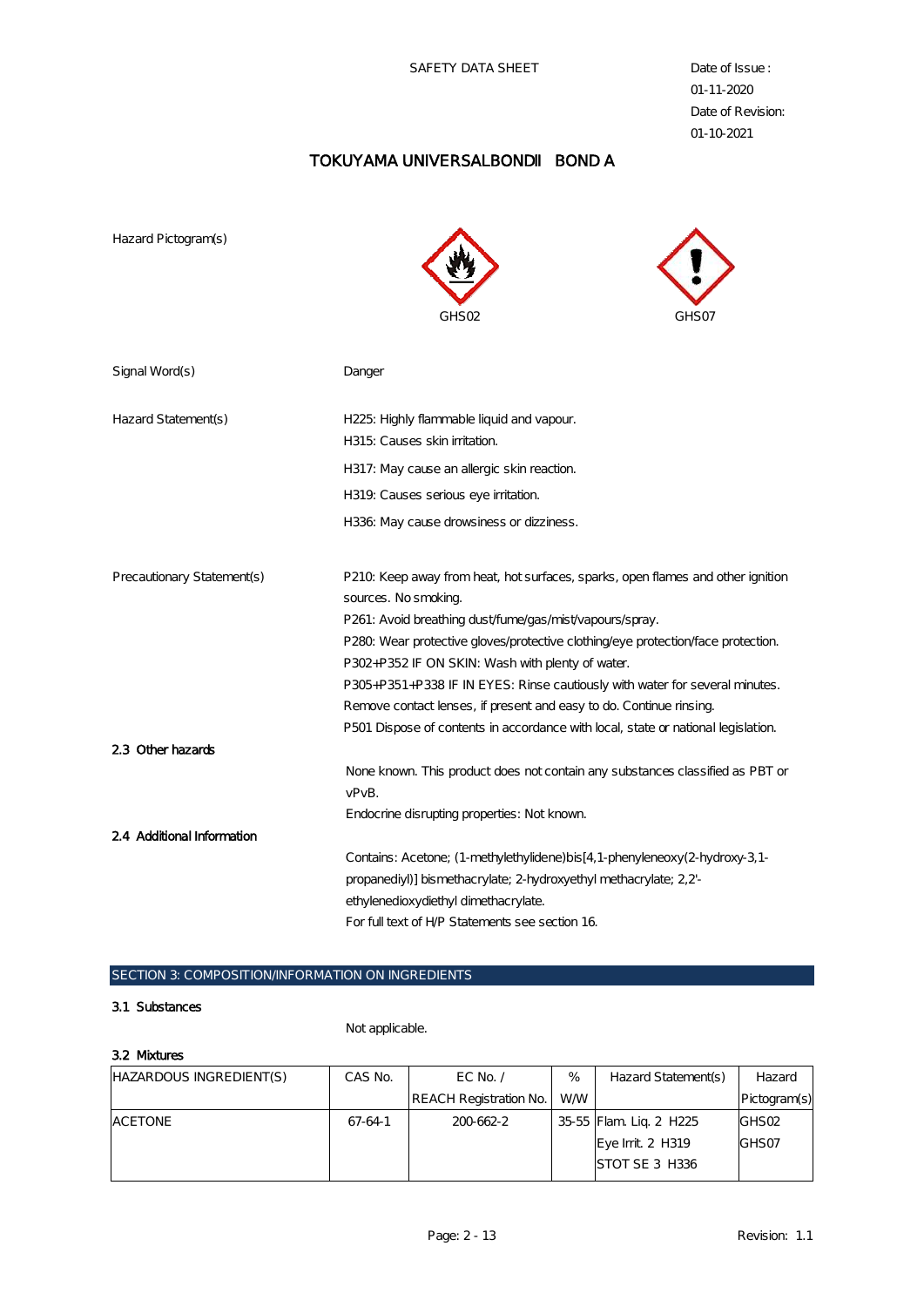SAFETY DATA SHEET Date of Issue :

01-11-2020 Date of Revision: 01-10-2021

## TOKUYAMA UNIVERSALBOND BOND A

Hazard Pictogram(s)





| Signal Word(s)             | Danger                                                                            |
|----------------------------|-----------------------------------------------------------------------------------|
|                            |                                                                                   |
| Hazard Statement(s)        | H225: Highly flammable liquid and vapour.                                         |
|                            | H315: Causes skin irritation.                                                     |
|                            | H317: May cause an allergic skin reaction.                                        |
|                            | H319. Causes serious eye irritation.                                              |
|                            | H336: May cause drowsiness or dizziness.                                          |
|                            |                                                                                   |
| Precautionary Statement(s) | P210. Keep away from heat, hot surfaces, sparks, open flames and other ignition   |
|                            | sources. No smoking.                                                              |
|                            | P261: Avoid breathing dust/fume/gas/mist/vapours/spray.                           |
|                            | P280. Wear protective gloves/protective clothing/eye protection/face protection.  |
|                            | P302+P352 IF ON SKIN: Wash with plenty of water.                                  |
|                            | P305+P351+P338 IF IN EYES: Rinse cautiously with water for several minutes.       |
|                            | Remove contact lenses, if present and easy to do. Continue rinsing.               |
|                            | P501 Dispose of contents in accordance with local, state or national legislation. |
| 2.3 Other hazards          |                                                                                   |
|                            | None known. This product does not contain any substances classified as PBT or     |
|                            | vPvB.                                                                             |
|                            | Endocrine disrupting properties: Not known.                                       |
| 2.4 Additional Information |                                                                                   |
|                            | Contains: Acetone; (1-methylethylidene)bis [4, 1-phenyleneoxy(2-hydroxy-3, 1-     |
|                            | propanediyl) bismethacrylate; 2-hydroxyethyl methacrylate; 2,2-                   |
|                            | ethylenedioxydiethyl dimethacrylate.                                              |
|                            | For full text of HP Statements see section 16.                                    |

## SECTION 3: COMPOSITION/INFORMATION ON INGREDIENTS

#### 3.1 Substances

Not applicable.

#### 3.2 Mixtures

| HAZARDOUS INGREDIENT(S) | CAS No. | EC No. $\prime$        | $\%$      | Hazard Statement(s)    | Hazard            |
|-------------------------|---------|------------------------|-----------|------------------------|-------------------|
|                         |         | REACH Registration No. | <b>WW</b> |                        | Pictogram(s)      |
| <b>ACETONE</b>          | 67-64-1 | 200662-2               |           | 35-55 Flam Lig. 2 H225 | GHS <sub>02</sub> |
|                         |         |                        |           | Eye Init. 2 H319       | GHS07             |
|                         |         |                        |           | STOT SE 3 H336         |                   |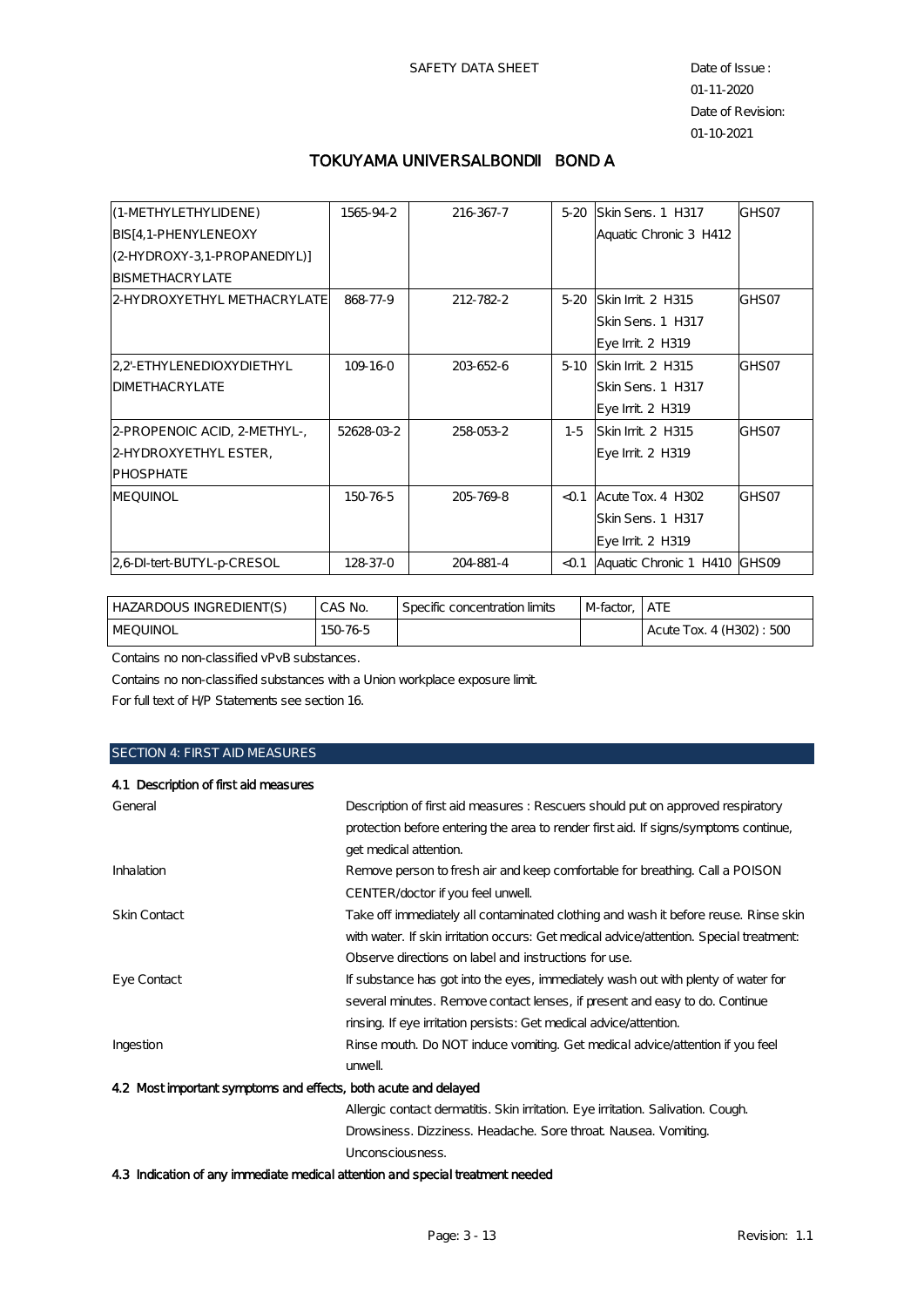## TOKUYAMA UNIVERSALBOND BOND A

| (1-METHYLETHYLIDENE)          | 1565-94-2 | 216 367-7 | $5-20$ | Skin Sens. 1 H317            | GHS07 |
|-------------------------------|-----------|-----------|--------|------------------------------|-------|
| <b>BIS [4, 1-PHENYLENEOXY</b> |           |           |        | Aquatic Chronic 3 H412       |       |
| (2-HYDROXY-3, 1-PROPANEDIYL)] |           |           |        |                              |       |
| BISMETHACRYLATE               |           |           |        |                              |       |
| 2 HYDROXYETHYL METHACRYLATE   | 868-77-9  | 212-782-2 | $5-20$ | Skin Irrit. 2 H315           | GHS07 |
|                               |           |           |        | Skin Sens. 1 H317            |       |
|                               |           |           |        | Eye Init. 2 H319             |       |
| 22-ETHYLENEDIOXYDIETHYL       | 109-16-0  | 2036526   | $5-10$ | Skin Init. 2 H315            | GHS07 |
| DIMETHACRYLATE                |           |           |        | Skin Sens. 1 H317            |       |
|                               |           |           |        | Eye Init. 2 H319             |       |
| 2 PROPENOIC ACID, 2 METHYL.   | 5262803-2 | 258-053-2 | $1-5$  | Skin Init. 2 H315            | GHS07 |
| 2-HYDROXYETHYL ESTER,         |           |           |        | Eye Init. 2 H319             |       |
| <b>PHOSPHATE</b>              |           |           |        |                              |       |
| <b>MEQUINOL</b>               | 150-76-5  | 205-769-8 | < 0.1  | Acute Tox. 4 H302            | GHS07 |
|                               |           |           |        | Skin Sens. 1 H317            |       |
|                               |           |           |        | Eye Init. 2 H319             |       |
| 26 DI tert-BUTYL-p-CRESOL     | 128-37-0  | 204-881-4 | < 0.1  | Aquatic Chronic 1 H410 GHS09 |       |

| HAZARDOUS INGREDIENT(S) | CAS No. | Specific concentration limits | M-factor. | ATE                      |
|-------------------------|---------|-------------------------------|-----------|--------------------------|
| MEQUINOL                | 150765  |                               |           | Acute Tox. 4 (H302): 500 |

Contains no non-classified vPvB substances.

Contains no non-classified substances with a Union workplace exposure limit.

For full text of H/P Statements see section 16.

#### SECTION 4: FIRST AID MEASURES

#### 4.1 Description of first aid measures

| General                                                                                      | Description of first aid measures: Rescuers should put on approved respiratory         |  |  |
|----------------------------------------------------------------------------------------------|----------------------------------------------------------------------------------------|--|--|
|                                                                                              | protection before entering the area to render first aid. If signs symptoms continue,   |  |  |
|                                                                                              | get medical attention.                                                                 |  |  |
| Inhalation                                                                                   | Remove person to fresh air and keep comfortable for breathing. Call a POISON           |  |  |
|                                                                                              | CENTER/doctor if you feel unwell.                                                      |  |  |
| Skin Contact                                                                                 | Take off immediately all contaminated clothing and wash it before reuse. Rinse skin    |  |  |
|                                                                                              | with water. If skin initation occurs: Get medical advice/attention. Special treatment: |  |  |
|                                                                                              | Observe directions on label and instructions for use.                                  |  |  |
| Eye Contact                                                                                  | If substance has got into the eyes, immediately wash out with plenty of water for      |  |  |
|                                                                                              | several minutes. Remove contact lenses, if present and easy to do. Continue            |  |  |
|                                                                                              | rinsing. If eye initation persists: Get medical advice/attention.                      |  |  |
| Ingestion                                                                                    | Rinse mouth. Do NOT induce vomiting. Get medical advice/attention if you feel          |  |  |
|                                                                                              | unwell                                                                                 |  |  |
| 4.2 Most important symptoms and effects, both acute and delayed                              |                                                                                        |  |  |
|                                                                                              | Allergic contact dermatitis. Skin initation. Eye initation. Salivation. Cough.         |  |  |
|                                                                                              | Drowsiness. Dizziness. Headache. Sore throat. Nausea. Vomiting.                        |  |  |
|                                                                                              | Unconsciousness.                                                                       |  |  |
| A O Tradication of our transaction and collect in the witness and ancoral incomposition of a |                                                                                        |  |  |

4.3 Indication of any immediate medical attention and special treatment needed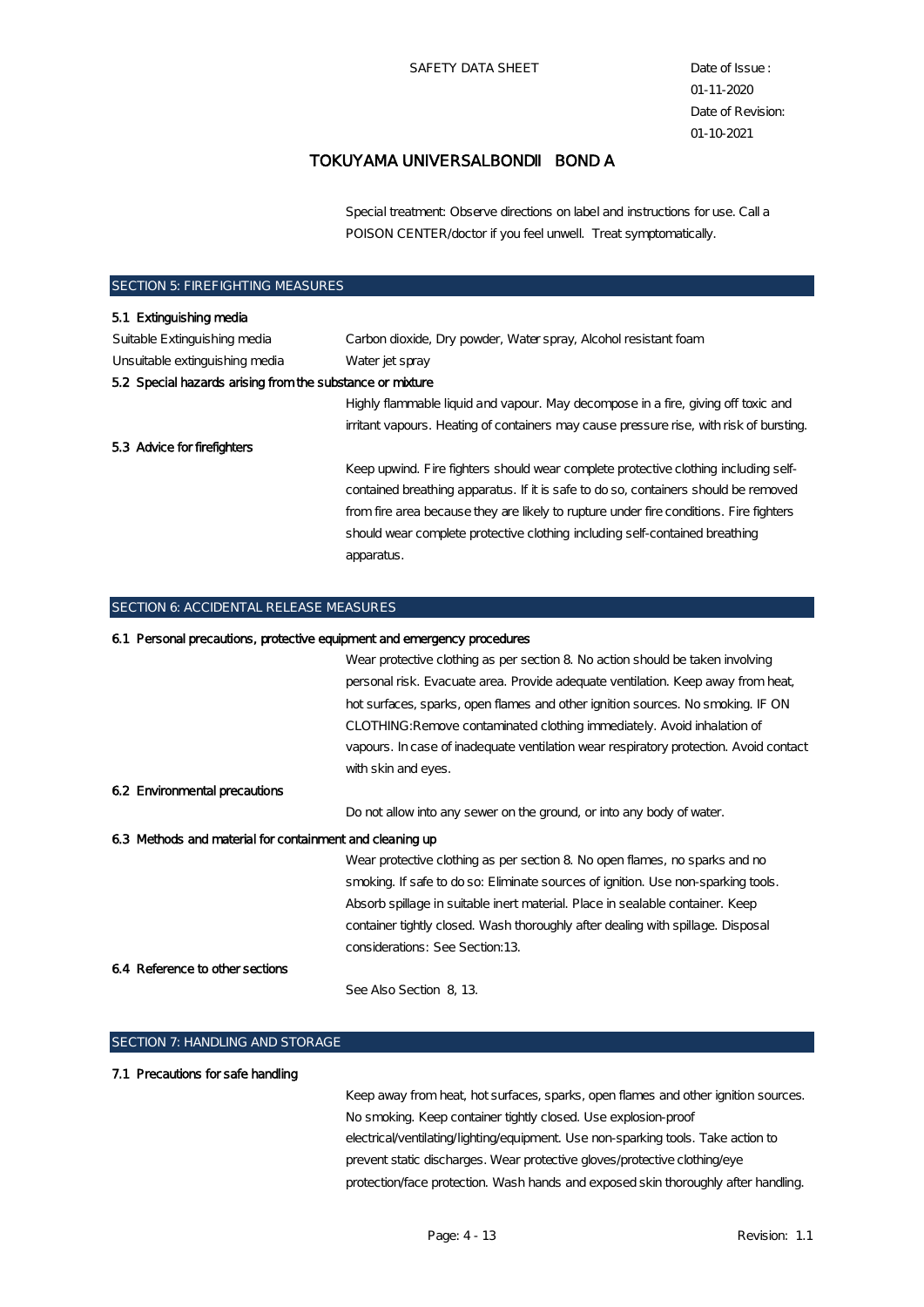### TOKUYAMA UNIVERSALBOND BOND A

Special treatment: Observe directions on label and instructions for use. Call a POISON CENTER/doctor if you feel unwell. Treat symptomatically.

| <b>SECTION 5: FIREFIGHTING MEASURES</b>                                 |                                                                                         |
|-------------------------------------------------------------------------|-----------------------------------------------------------------------------------------|
| 5.1 Extinguishing media                                                 |                                                                                         |
| Suitable Extinguishing media                                            | Carbon dioxide, Dry powder, Water spray, Alcohol resistant foam                         |
| Unsuitable extinguishing media                                          | Water jet spray                                                                         |
| 5.2 Special hazards arising from the substance or mixture               |                                                                                         |
|                                                                         | Highly flammable liquid and vapour. May decompose in a fire, giving off toxic and       |
|                                                                         | irritant vapours. Heating of containers may cause pressure rise, with risk of bursting. |
| 5.3 Advice for firefighters                                             |                                                                                         |
|                                                                         | Keep upwind. Fire fighters should wear complete protective clothing including self-     |
|                                                                         | contained breathing apparatus. If it is safe to do so, containers should be removed     |
|                                                                         | from fire area because they are likely to rupture under fire conditions. Fire fighters  |
|                                                                         | should wear complete protective clothing including self-contained breathing             |
|                                                                         | apparatus.                                                                              |
|                                                                         |                                                                                         |
| SECTION 6: ACCIDENTAL RELEASE MEASURES                                  |                                                                                         |
| 6.1 Personal precautions, protective equipment and emergency procedures |                                                                                         |
|                                                                         | Wear protective clothing as per section 8. No action should be taken involving          |
|                                                                         |                                                                                         |

|                                                          | personal risk. Evacuate area. Provide adequate ventilation. Keep away from heat,      |
|----------------------------------------------------------|---------------------------------------------------------------------------------------|
|                                                          | hot surfaces, sparks, open flames and other ignition sources. No smoking. IF ON       |
|                                                          | CLOTHING: Remove contaminated clothing immediately. Avoid inhalation of               |
|                                                          | vapours. In case of inadequate ventilation wear respiratory protection. Avoid contact |
|                                                          | with skin and eyes.                                                                   |
| 6.2 Environmental precautions                            |                                                                                       |
|                                                          | Do not allow into any sewer on the ground, or into any body of water.                 |
| 6.3 Methods and material for containment and cleaning up |                                                                                       |
|                                                          | Wear protective clothing as per section 8 No open flames, no sparks and no            |
|                                                          | smoking. If safe to do so: Eliminate sources of ignition. Use non-sparking tools.     |
|                                                          | Absorb spillage in suitable inert material. Place in sealable container. Keep         |
|                                                          | container tightly closed. Wash thoroughly after dealing with spillage. Disposal       |
|                                                          | considerations: See Section 13                                                        |
|                                                          |                                                                                       |

6.4 Reference to other sections

See Also Section 8, 13.

## SECTION 7: HANDLING AND STORAGE

#### 7.1 Precautions for safe handling

Keep away from heat, hot surfaces, sparks, open flames and other ignition sources. No smoking. Keep container tightly closed. Use explosion-proof electrical/ventilating/lighting/equipment. Use non-sparking tools. Take action to prevent static discharges. Wear protective gloves/protective clothing/eye protection/face protection. Wash hands and exposed skin thoroughly after handling.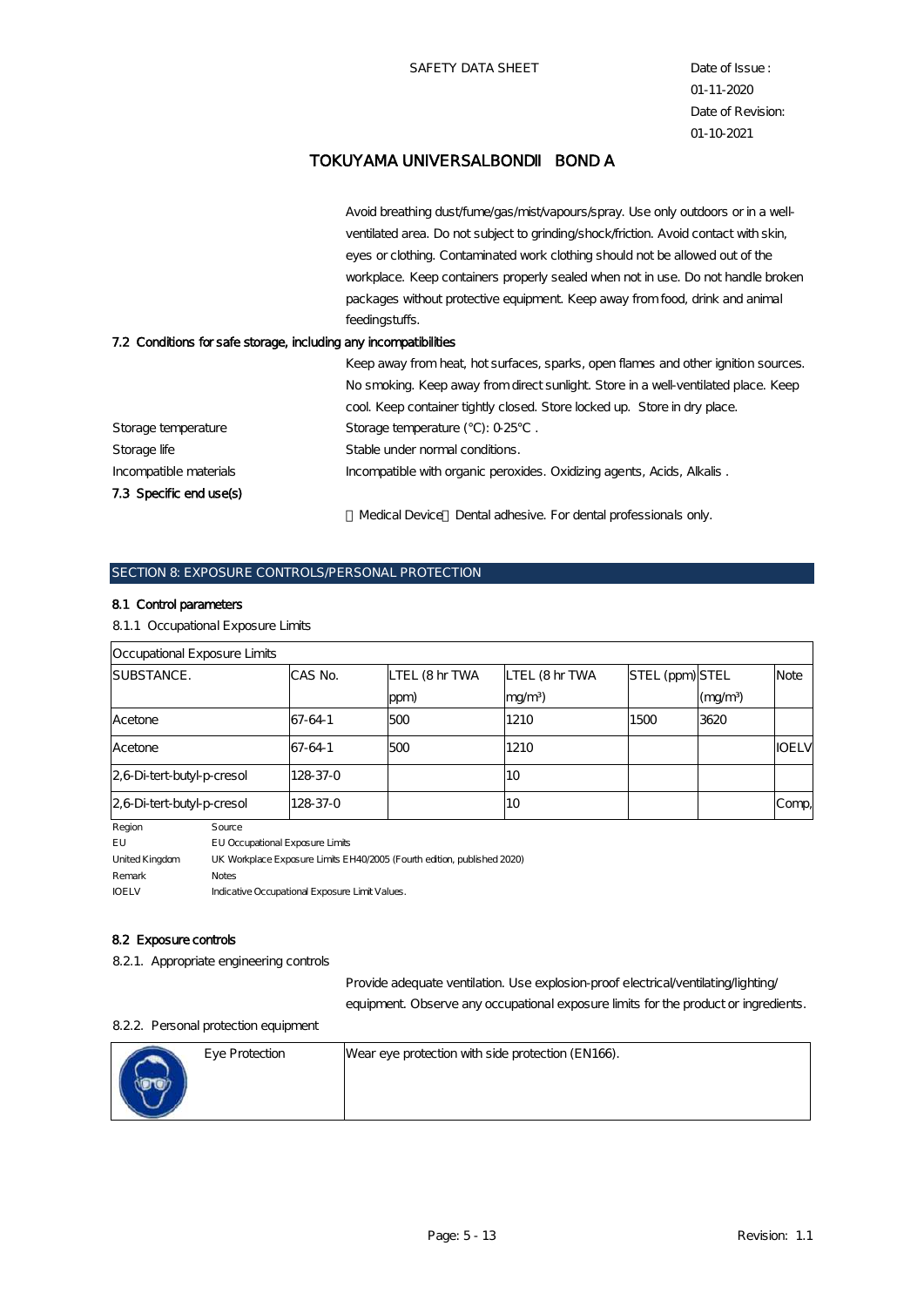Avoid breathing dust/fume/gas/mist/vapours/spray. Use only outdoors or in a wellventilated area. Do not subject to grinding/shock/friction. Avoid contact with skin, eyes or clothing. Contaminated work clothing should not be allowed out of the workplace. Keep containers properly sealed when not in use. Do not handle broken packages without protective equipment. Keep away from food, drink and animal feedingstuffs.

#### 7.2 Conditions for safe storage, including any incompatibilities

|                         | Keep away from heat, hot surfaces, sparks, open flames and other ignition sources. |
|-------------------------|------------------------------------------------------------------------------------|
|                         | No smoking. Keep away from direct sunlight. Store in a well-ventilated place. Keep |
|                         | cool Keep container tightly closed. Store locked up. Store in dry place.           |
| Storage temperature     | Storage temperature $(°C)$ : $0.25°C$ .                                            |
| Storage life            | Stable under normal conditions.                                                    |
| Incompatible materials  | Incompatible with organic peroxides. Oxidizing agents, Acids, Alkalis.             |
| 7.3 Specific end use(s) |                                                                                    |
|                         | Medical Device Dental adhesive. For dental professionals only.                     |

# SECTION & EXPOSURE CONTROLS/PERSONAL PROTECTION

#### 8.1 Control parameters

#### 8.1.1 Occupational Exposure Limits

| Occupational Exposure Limits |            |                |                   |                 |        |              |
|------------------------------|------------|----------------|-------------------|-----------------|--------|--------------|
| <b>SUBSTANCE.</b>            | CAS No.    | LTEL (8 hr TWA | LTEL (8 hr TWA    | STEL (ppm) STEL |        | Note         |
|                              |            | ppm)           | mg/m <sup>3</sup> |                 | (mg/m) |              |
| Acetone                      | 67-64-1    | 500            | 1210              | 1500            | 3620   |              |
| Acetone                      | 67-64-1    | 500            | 1210              |                 |        | <b>IOELV</b> |
| 2.6 Di-tert-butyl-p-cresol   | 128 37 - 0 |                | <b>10</b>         |                 |        |              |
| $26$ Di-tert-butyl-p-cresol  | 128.37-0   |                | <b>10</b>         |                 |        | Comp,        |

Region Source

EU EU Occupational Exposure Limits United Kingdom UK Workplace Exposure Limits EH40/2005 (Fourth edition, published 2020) Remark Notes

IOELV Indicative Occupational Exposure Limit Values.

#### 8.2 Exposure controls

8.2.1. Appropriate engineering controls

Provide adequate ventilation. Use explosion-proof electrical/ventilating/lighting/ equipment. Observe any occupational exposure limits for the product or ingredients.

#### 8.2.2. Personal protection equipment

| Eye Protection | Wear eye protection with side protection (EN166). |
|----------------|---------------------------------------------------|
|                |                                                   |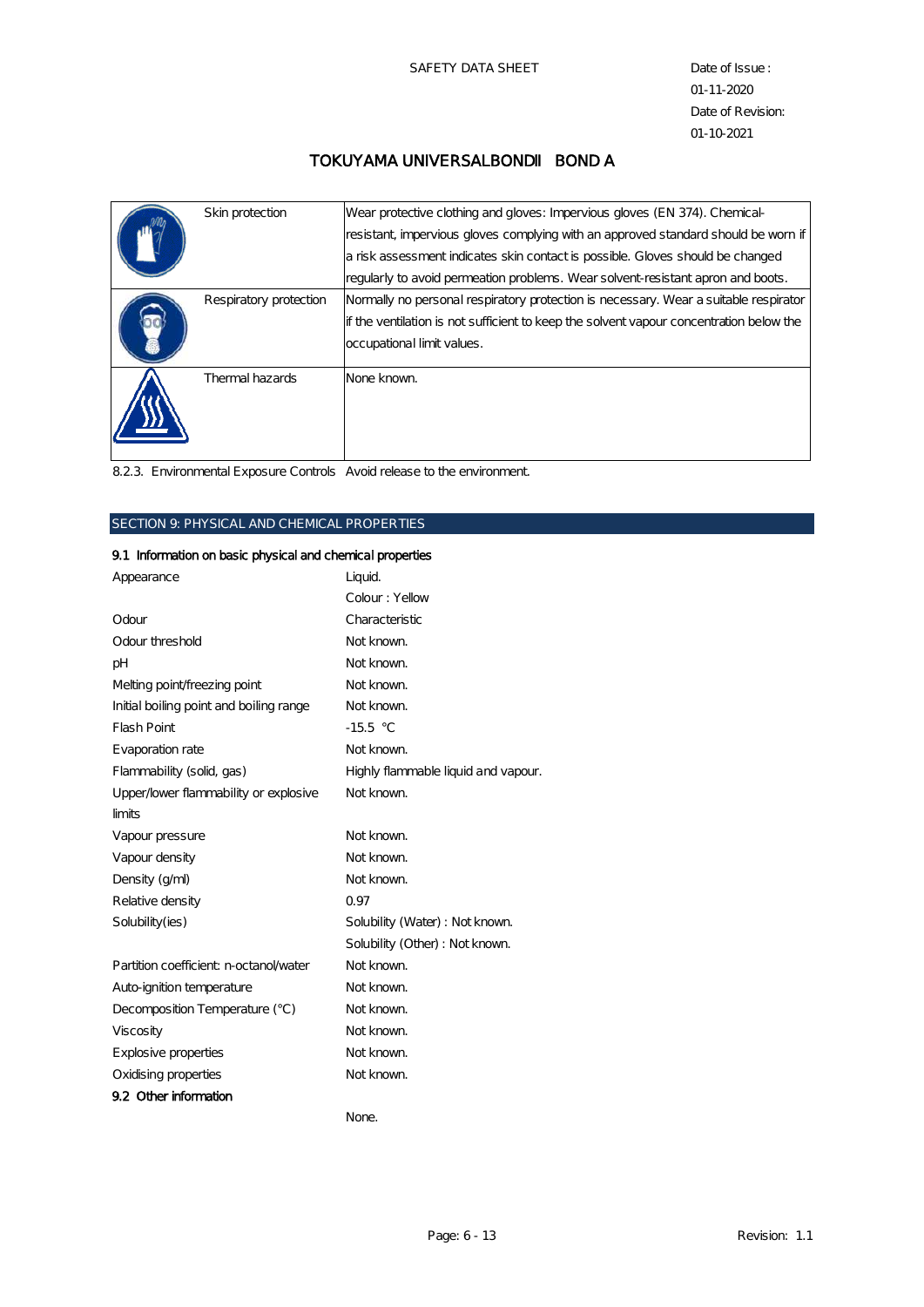| Skin protection        | Wear protective clothing and gloves: Impervious gloves (EN 374). Chemical-<br>resistant, impervious gloves complying with an approved standard should be worn if<br>a risk assessment indicates skin contact is possible. Gloves should be changed<br>regularly to avoid permeation problems. Wear solvent-resistant apron and boots. |
|------------------------|---------------------------------------------------------------------------------------------------------------------------------------------------------------------------------------------------------------------------------------------------------------------------------------------------------------------------------------|
| Respiratory protection | Normally no personal respiratory protection is necessary. Wear a suitable respirator<br>If the ventilation is not sufficient to keep the solvent vapour concentration below the<br>occupational limit values.                                                                                                                         |
| Thermal hazards        | None known.                                                                                                                                                                                                                                                                                                                           |

8.2.3. Environmental Exposure Controls Avoid release to the environment.

## SECTION 9: PHYSICAL AND CHEMICAL PROPERTIES

## 9.1 Information on basic physical and chemical properties

| Appearance                              | Liquid.                             |
|-----------------------------------------|-------------------------------------|
|                                         | Colour: Yellow                      |
| Odour                                   | Characteristic                      |
| Odour threshold                         | Not known.                          |
| pН                                      | Not known.                          |
| Melting point/freezing point            | Not known.                          |
| Initial boiling point and boiling range | Not known.                          |
| <b>Flash Point</b>                      | $-15.5 °C$                          |
| Evaporation rate                        | Not known.                          |
| Flammability (solid, gas)               | Highly flammable liquid and vapour. |
| Upper/lower flammability or explosive   | Not known.                          |
| limits                                  |                                     |
| Vapour pressure                         | Not known.                          |
| Vapour density                          | Not known.                          |
| Density (g/ml)                          | Not known.                          |
| Relative density                        | 0.97                                |
| Solubility(ies)                         | Solubility (Water) : Not known.     |
|                                         | Solubility (Other) : Not known.     |
| Partition coefficient: n-octanol/water  | Not known.                          |
| Auto-ignition temperature               | Not known.                          |
| Decomposition Temperature (°C)          | Not known.                          |
| Viscosity                               | Not known.                          |
| Explosive properties                    | Not known.                          |
| Oxidising properties                    | Not known.                          |
| 9.2 Other information                   |                                     |
|                                         | None.                               |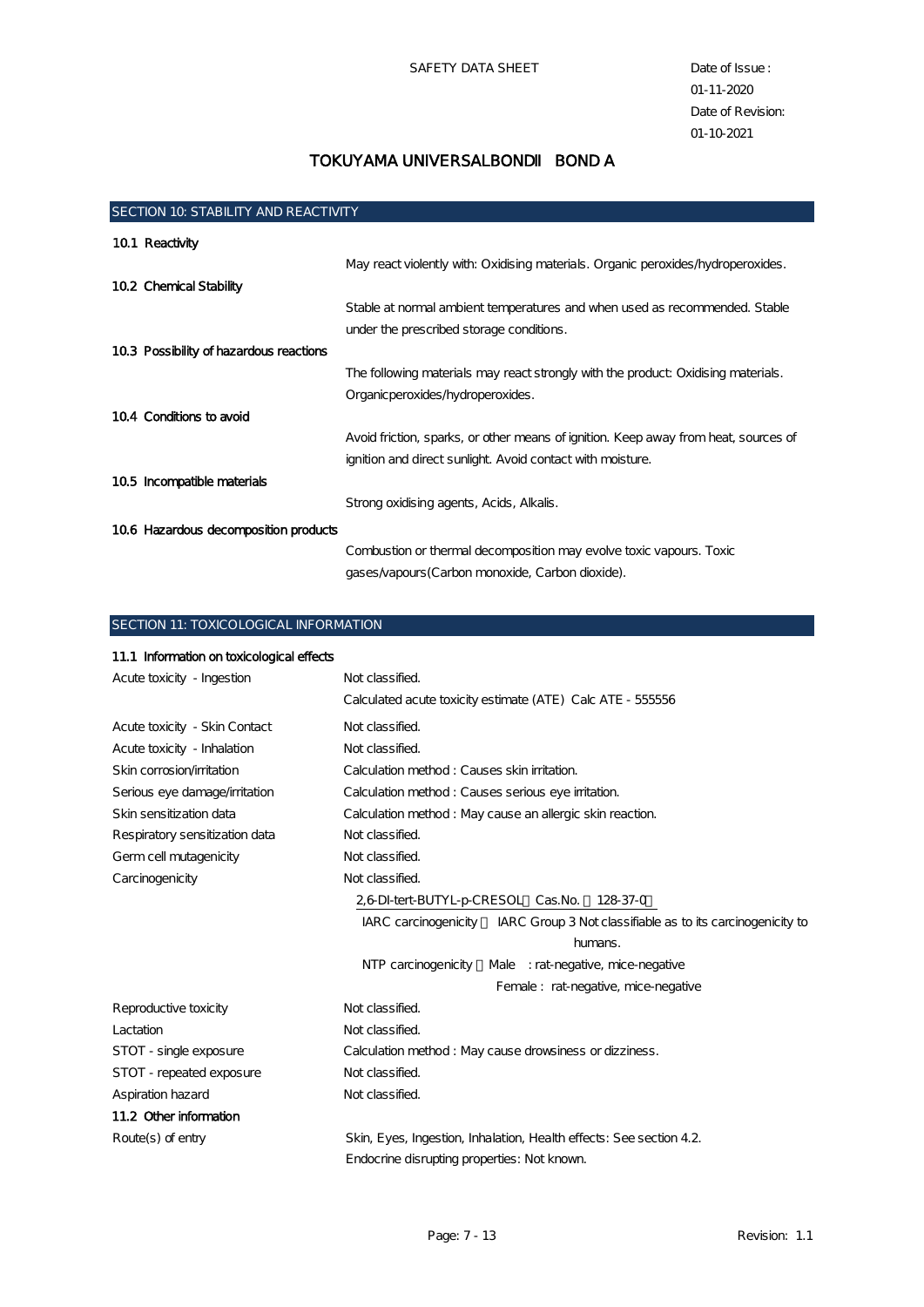| <b>SECTION 10: STABILITY AND REACTIVITY</b> |                                                                                     |  |  |  |
|---------------------------------------------|-------------------------------------------------------------------------------------|--|--|--|
| 10.1 Reactivity                             |                                                                                     |  |  |  |
|                                             | May react violently with: Oxidising materials. Organic peroxides hydroperoxides.    |  |  |  |
| 10.2 Chemical Stability                     |                                                                                     |  |  |  |
|                                             | Stable at normal ambient temperatures and when used as recommended. Stable          |  |  |  |
|                                             | under the prescribed storage conditions.                                            |  |  |  |
| 10.3 Possibility of hazardous reactions     |                                                                                     |  |  |  |
|                                             | The following materials may react strongly with the product: Oxidising materials.   |  |  |  |
|                                             | Organic peroxides /hydroperoxides.                                                  |  |  |  |
| 10.4 Conditions to avoid                    |                                                                                     |  |  |  |
|                                             | Avoid friction, sparks, or other means of ignition. Keep away from heat, sources of |  |  |  |
|                                             | ignition and direct sunlight. Avoid contact with moisture.                          |  |  |  |
| 10.5 Incompatible materials                 |                                                                                     |  |  |  |
|                                             | Strong oxidising agents, Acids, Alkalis.                                            |  |  |  |
| 106 Hazardous decomposition products        |                                                                                     |  |  |  |
|                                             | Combustion or thermal decomposition may evolve toxic vapours. Toxic                 |  |  |  |
|                                             | gases/vapours (Carbon monoxide, Carbon dioxide).                                    |  |  |  |

SECTION 11: TOXICOLOGICAL INFORMATION

| 11.1 Information on toxicological effects |                                                                                 |  |  |  |
|-------------------------------------------|---------------------------------------------------------------------------------|--|--|--|
| Acute toxicity - Ingestion                | Not classified.                                                                 |  |  |  |
|                                           | Calculated acute toxicity estimate (ATE) Calc ATE - 555556                      |  |  |  |
| Acute toxicity - Skin Contact             | Not classified.                                                                 |  |  |  |
| Acute toxicity - Inhalation               | Not classified.                                                                 |  |  |  |
| Skin corrosion/irritation                 | Calculation method: Causes skin irritation.                                     |  |  |  |
| Serious eye damage/irritation             | Calculation method: Causes serious eye initation.                               |  |  |  |
| Skin sensitization data                   | Calculation method: May cause an allergic skin reaction.                        |  |  |  |
| Respiratory sensitization data            | Not classified.                                                                 |  |  |  |
| Germ cell mutagenicity                    | Not classified.                                                                 |  |  |  |
| Carcinogenicity                           | Not classified.                                                                 |  |  |  |
|                                           | 2,6 DI-tert-BUTYL-p-CRESOL Cas.No.<br>128-37-0                                  |  |  |  |
|                                           | IARC carcinogenicity IARC Group 3 Not classifiable as to its carcinogenicity to |  |  |  |
|                                           | humans.                                                                         |  |  |  |
|                                           | NTP carcinogenicity Male : rat-negative, mice-negative                          |  |  |  |
|                                           | Female: rat-negative, mice-negative                                             |  |  |  |
| Reproductive toxicity                     | Not classified.                                                                 |  |  |  |
| Lactation                                 | Not classified.                                                                 |  |  |  |
| STOT - single exposure                    | Calculation method: May cause drowsiness or dizziness.                          |  |  |  |
| STOT - repeated exposure                  | Not classified.                                                                 |  |  |  |
| Aspiration hazard                         | Not classified.                                                                 |  |  |  |
| 11.2 Other information                    |                                                                                 |  |  |  |
| Route $(s)$ of entry                      | Skin, Eyes, Ingestion, Inhalation, Health effects: See section 4.2.             |  |  |  |
|                                           | Endocrine disrupting properties: Not known.                                     |  |  |  |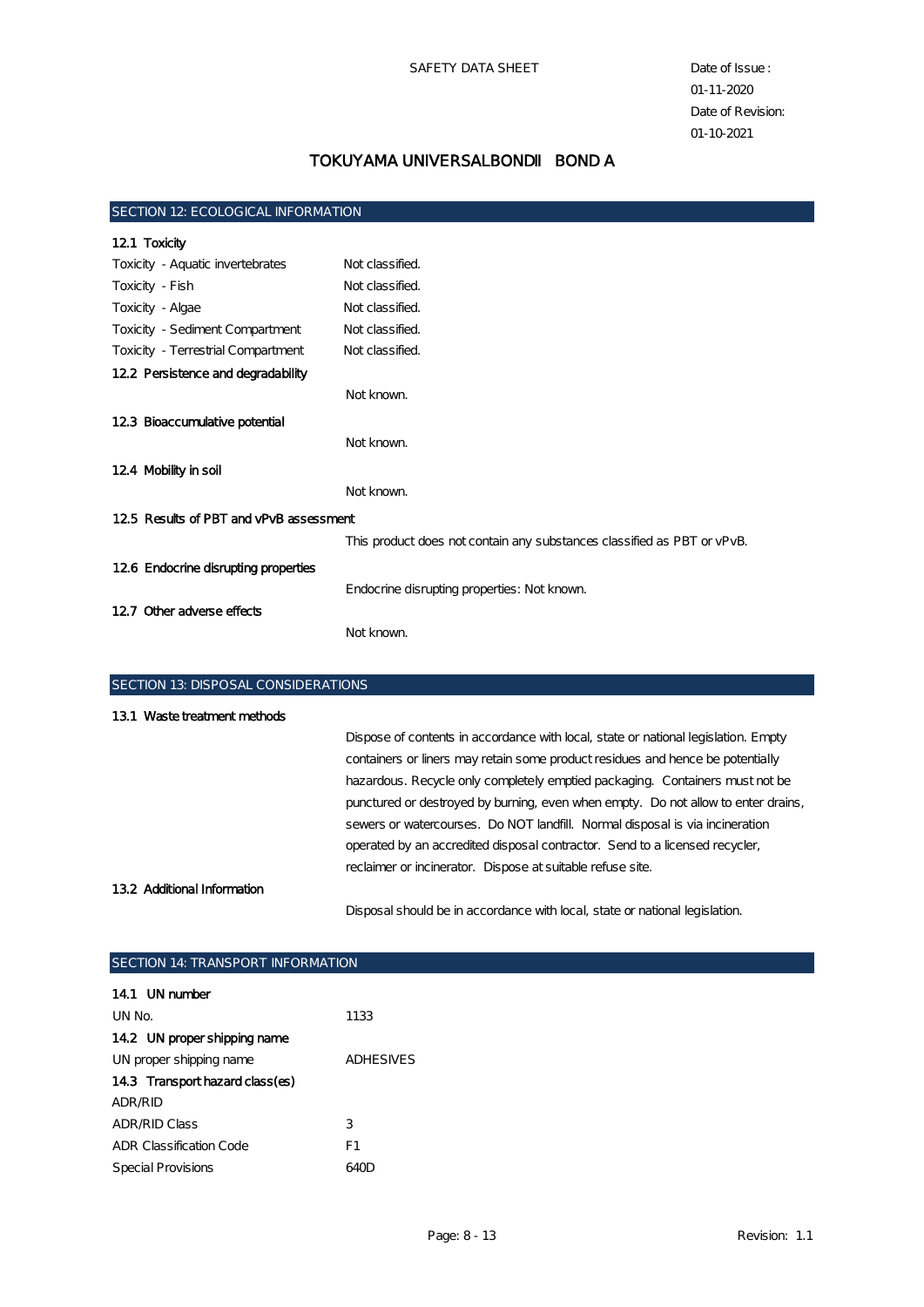| <b>SECTION 12: ECOLOGICAL INFORMATION</b> |                                                                         |  |  |  |  |
|-------------------------------------------|-------------------------------------------------------------------------|--|--|--|--|
| 12.1 Toxicity                             |                                                                         |  |  |  |  |
| Toxicity - Aquatic invertebrates          | Not classified.                                                         |  |  |  |  |
| Toxicity - Fish                           | Not classified.                                                         |  |  |  |  |
| Toxicity - Algae                          | Not classified.                                                         |  |  |  |  |
| Toxicity - Sediment Compartment           | Not classified.                                                         |  |  |  |  |
| Toxicity - Terrestrial Compartment        | Not classified.                                                         |  |  |  |  |
| 12.2 Persistence and degradability        |                                                                         |  |  |  |  |
|                                           | Not known.                                                              |  |  |  |  |
| 123 Bioaccumulative potential             |                                                                         |  |  |  |  |
|                                           | Not known.                                                              |  |  |  |  |
| 12.4 Mobility in soil                     |                                                                         |  |  |  |  |
|                                           | Not known.                                                              |  |  |  |  |
| 12.5 Results of PBT and vPvB assessment   |                                                                         |  |  |  |  |
|                                           | This product does not contain any substances classified as PBT or vPvB. |  |  |  |  |
| 126 Endocrine disrupting properties       |                                                                         |  |  |  |  |
|                                           | Endocrine disrupting properties: Not known.                             |  |  |  |  |
| 12.7 Other adverse effects                |                                                                         |  |  |  |  |
|                                           | Not known.                                                              |  |  |  |  |
|                                           |                                                                         |  |  |  |  |
|                                           |                                                                         |  |  |  |  |

| <b>SECTION 13 DISPOSAL CONSIDERATIONS</b> |                                                                                    |  |  |  |
|-------------------------------------------|------------------------------------------------------------------------------------|--|--|--|
| 13.1 Waste treatment methods              |                                                                                    |  |  |  |
|                                           | Dispose of contents in accordance with local, state or national legislation. Empty |  |  |  |
|                                           | containers or liners may retain some product residues and hence be potentially     |  |  |  |
|                                           | hazardous. Recycle only completely emptied packaging. Containers must not be       |  |  |  |
|                                           | punctured or destroyed by burning, even when empty. Do not allow to enter drains,  |  |  |  |
|                                           | sewers or watercourses. Do NOT landfill Normal disposal is via incineration        |  |  |  |
|                                           | operated by an accredited disposal contractor. Send to a licensed recycler,        |  |  |  |
|                                           | reclaimer or incinerator. Dispose at suitable refuse site.                         |  |  |  |
| 132 Additional Information                |                                                                                    |  |  |  |
|                                           | Disposal should be in accordance with local, state or national legislation.        |  |  |  |

| <b>SECTION 14: TRANSPORT INFORMATION</b> |  |  |  |  |
|------------------------------------------|--|--|--|--|
|                                          |  |  |  |  |
| 1133                                     |  |  |  |  |
|                                          |  |  |  |  |
| <b>ADHESIVES</b>                         |  |  |  |  |
|                                          |  |  |  |  |
|                                          |  |  |  |  |
| 3                                        |  |  |  |  |
| F1                                       |  |  |  |  |
| 640D                                     |  |  |  |  |
|                                          |  |  |  |  |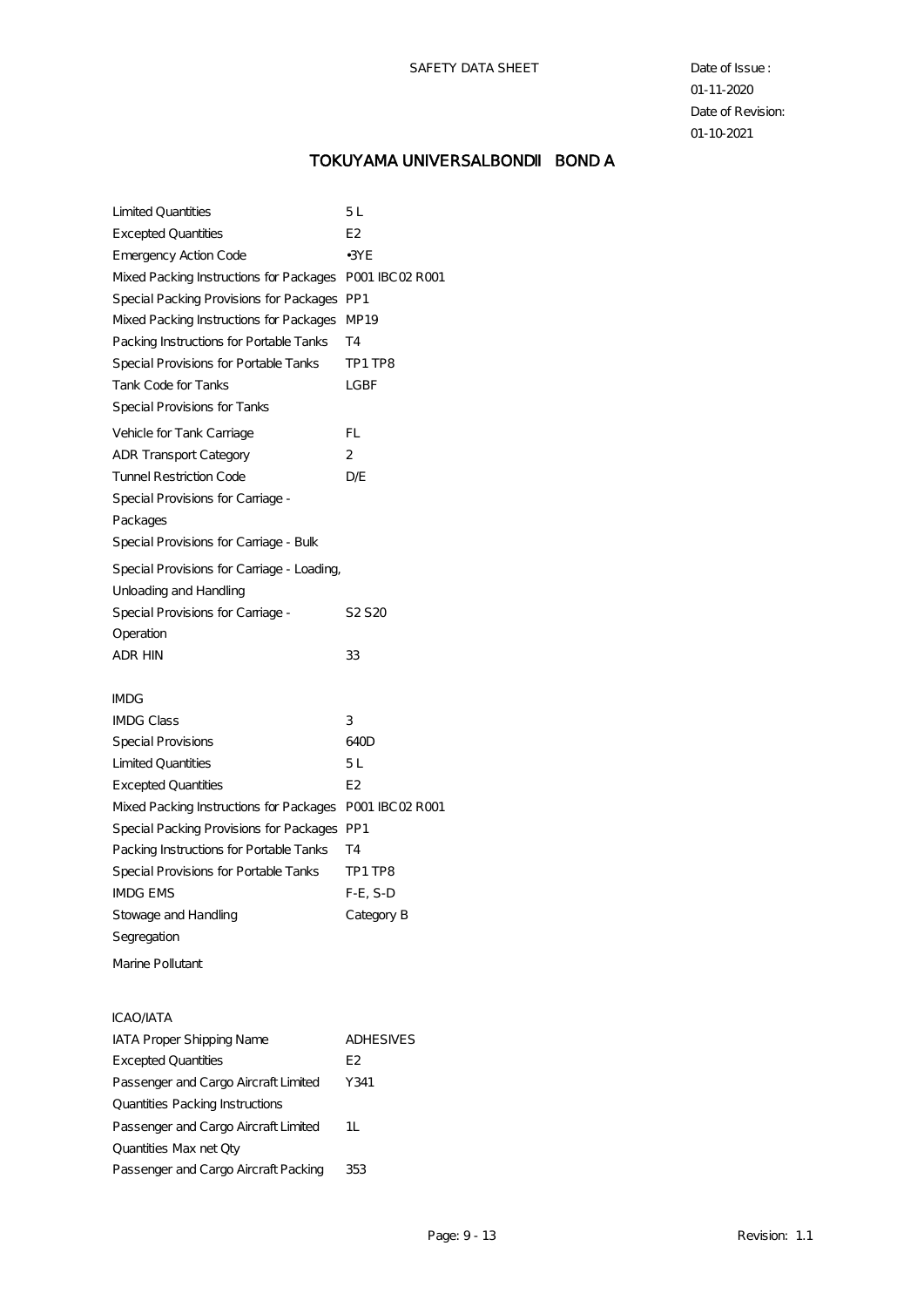## TOKUYAMA UNIVERSALBOND BOND A

| <b>Excepted Quantities</b>                  | E <sub>2</sub>         |
|---------------------------------------------|------------------------|
| Emergency Action Code                       | $\cdot$ 3YE            |
| Mixed Packing Instructions for Packages     | <b>POO1 IBCO2 ROO1</b> |
| Special Packing Provisions for Packages PP1 |                        |
| Mixed Packing Instructions for Packages     | MP19                   |
| Packing Instructions for Portable Tanks     | T4                     |
| Special Provisions for Portable Tanks       | TP1 TP8                |
| Tank Code for Tanks                         | LGBF                   |
| Special Provisions for Tanks                |                        |
| Vehicle for Tank Carriage                   | FL                     |
| <b>ADR</b> Transport Category               | 2                      |
| Tunnel Restriction Code                     | DÆ                     |
| Special Provisions for Carriage -           |                        |
| Packages                                    |                        |
| Special Provisions for Carriage - Bulk      |                        |
| Special Provisions for Carriage - Loading,  |                        |
| Unloading and Handling                      |                        |
| Special Provisions for Carriage -           | S2 S 20                |
| Operation                                   |                        |
| ADR HIN                                     | 33                     |
|                                             |                        |
| IMDG                                        |                        |
| <b>IMDG Class</b>                           | 3                      |
| Special Provisions                          | 640D                   |
| <b>Limited Quantities</b>                   | 5 L                    |
| <b>Excepted Quantities</b>                  | E2                     |
| Mixed Packing Instructions for Packages     | PO01 IBCO2 RO01        |
| Special Packing Provisions for Packages     | PP1                    |
| Packing Instructions for Portable Tanks     | T4                     |
| Special Provisions for Portable Tanks       | TP1 TP8                |
| <b>IMDG EMS</b>                             | $F-E$ , $S-D$          |
| Stowage and Handling                        | Category B             |
| Segregation                                 |                        |
| Marine Pollutant                            |                        |
|                                             |                        |
| ICAO AATA                                   |                        |
| <b>IATA Proper Shipping Name</b>            | <b>ADHESIVES</b>       |
| <b>Excepted Quantities</b>                  | E2                     |
| Passenger and Cargo Aircraft Limited        | Y341                   |
| Quantities Packing Instructions             |                        |
| Passenger and Cargo Aircraft Limited        | 1L                     |
| Quantities Max net Qty                      |                        |
| Passenger and Cargo Aircraft Packing        | 353                    |
|                                             |                        |
|                                             |                        |

Limited Quantities 5 L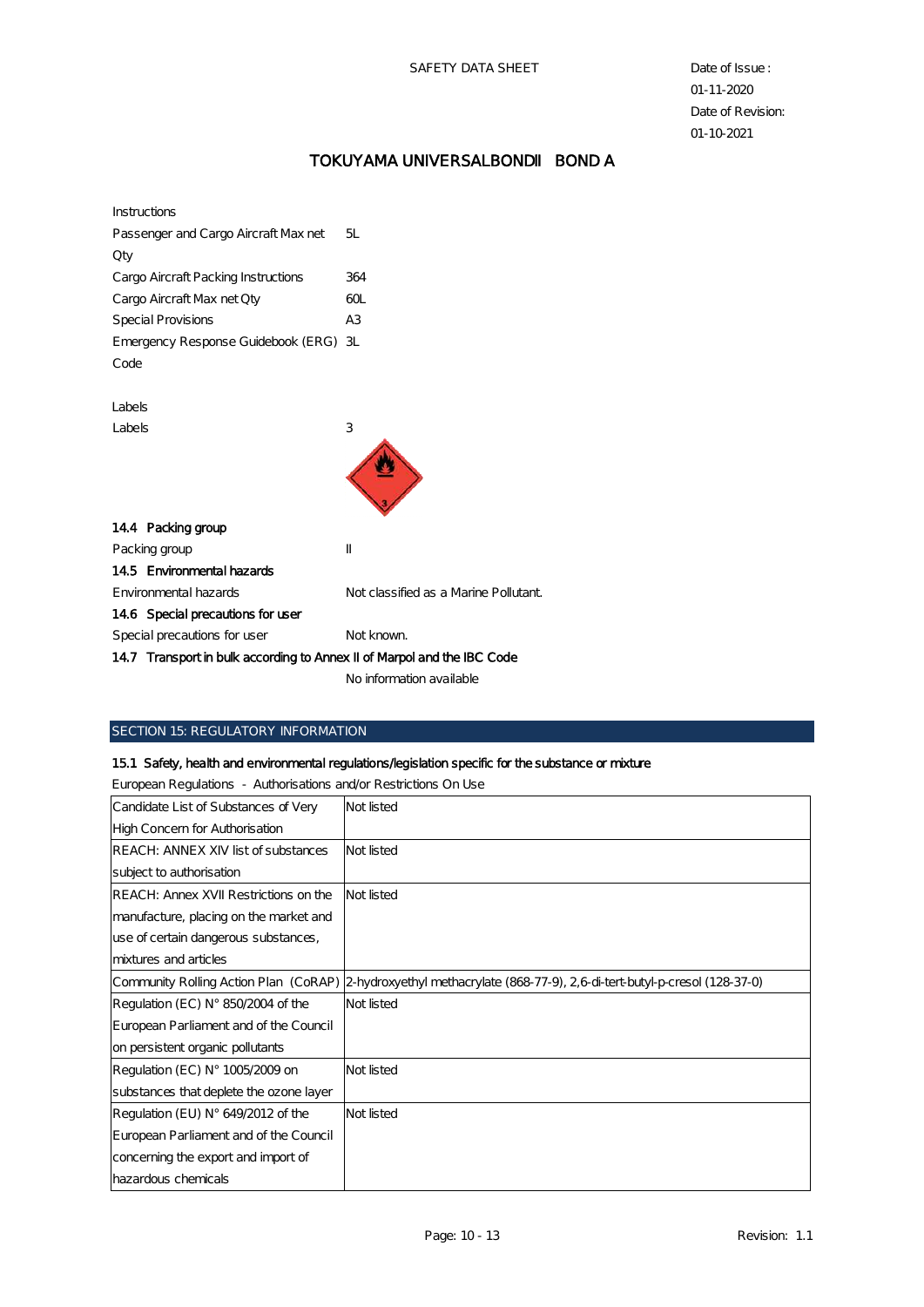## TOKUYAMA UNIVERSALBOND BOND A

| Instructions                                                           |                                       |
|------------------------------------------------------------------------|---------------------------------------|
| Passenger and Cargo Aircraft Max net                                   | 5I.                                   |
| Qty                                                                    |                                       |
| Cargo Aircraft Packing Instructions                                    | 364                                   |
| Cargo Aircraft Max net Qty                                             | 60L                                   |
| Special Provisions                                                     | A <sub>3</sub>                        |
| Emergency Response Guidebook (ERG) 3L                                  |                                       |
| Code                                                                   |                                       |
|                                                                        |                                       |
| Labels                                                                 |                                       |
| Labels                                                                 | 3                                     |
|                                                                        |                                       |
| 144 Packing group                                                      |                                       |
| Packing group                                                          | π                                     |
| 14.5 Environmental hazards                                             |                                       |
| Environmental hazards                                                  | Not classified as a Marine Pollutant. |
| 146 Special precautions for user                                       |                                       |
| Special precautions for user                                           | Not known.                            |
| 147 Transport in bulk according to Armex II of Marpol and the IBC Code |                                       |
|                                                                        |                                       |

No information available

## SECTION 15: REGULATORY INFORMATION

## 15.1 Safety, health and environmental regulations/legislation specific for the substance or mixture

European Regulations - Authorisations and/or Restrictions On Use

| <b>European No Radions</b> Radion based on Neoderland on G |                                                                                                                     |
|------------------------------------------------------------|---------------------------------------------------------------------------------------------------------------------|
| Candidate List of Substances of Very                       | Not listed                                                                                                          |
| High Concern for Authorisation                             |                                                                                                                     |
| REACH: ANNEX XIV list of substances                        | Not listed                                                                                                          |
| subject to authorisation                                   |                                                                                                                     |
| REACH: Annex XVII Restrictions on the                      | Not listed                                                                                                          |
| manufacture, placing on the market and                     |                                                                                                                     |
| use of certain dangerous substances,                       |                                                                                                                     |
| mixtures and articles                                      |                                                                                                                     |
|                                                            | Community Rolling Action Plan (CoRAP) 2-hydroxyethyl methacrylate (868-77-9), 2,6-di-tert-butyl-p-cresol (128-37-0) |
| Regulation (EC) $N^{\circ}$ 850/2004 of the                | Not listed                                                                                                          |
| European Parliament and of the Council                     |                                                                                                                     |
| on persistent organic pollutants                           |                                                                                                                     |
| Regulation (EC) N° 1005/2009 on                            | Not listed                                                                                                          |
| substances that deplete the ozone layer                    |                                                                                                                     |
| Regulation (EU) $N^{\circ}$ 649/2012 of the                | Not listed                                                                                                          |
| European Parliament and of the Council                     |                                                                                                                     |
| concerning the export and import of                        |                                                                                                                     |
| hazardous chemicals                                        |                                                                                                                     |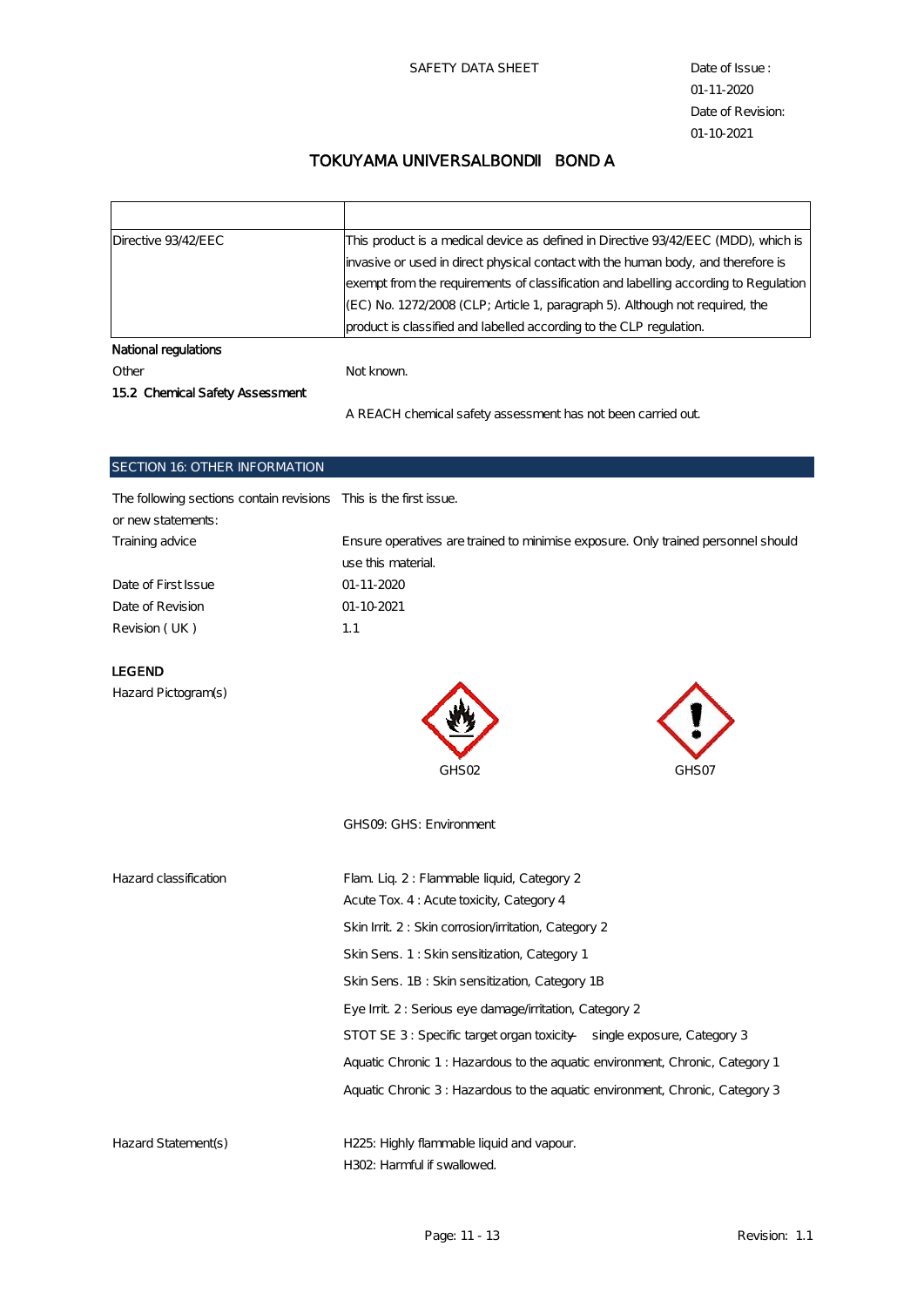## TOKUYAMA UNIVERSALBOND BOND A

| Directive 93/42/EEC             | This product is a medical device as defined in Directive 93/42/EEC (MDD), which is   |  |  |  |
|---------------------------------|--------------------------------------------------------------------------------------|--|--|--|
|                                 | invasive or used in direct physical contact with the human body, and therefore is    |  |  |  |
|                                 | exempt from the requirements of classification and labelling according to Regulation |  |  |  |
|                                 | (EC) No. 1272/2008 (CLP; Article 1, paragraph 5). Although not required, the         |  |  |  |
|                                 | product is classified and labelled according to the CLP regulation.                  |  |  |  |
| National regulations            |                                                                                      |  |  |  |
| Other                           | Not known.                                                                           |  |  |  |
| 15.2 Chemical Safety Assessment |                                                                                      |  |  |  |
|                                 | A REACH chemical safety assessment has not been carried out.                         |  |  |  |

#### SECTION 16: OTHER INFORMATION

|  |  | The following sections contain revisions This is the first issue. |  |  |  |  |  |  |  |  |  |
|--|--|-------------------------------------------------------------------|--|--|--|--|--|--|--|--|--|
|--|--|-------------------------------------------------------------------|--|--|--|--|--|--|--|--|--|

| or new statements:  |                                                                                   |
|---------------------|-----------------------------------------------------------------------------------|
| Training advice     | Ensure operatives are trained to minimise exposure. Only trained personnel should |
|                     | use this material.                                                                |
| Date of First Issue | $01 - 11 - 2020$                                                                  |
| Date of Revision    | $01 - 10 - 2021$                                                                  |
| Revision ( UK )     | 1.1                                                                               |
|                     |                                                                                   |

#### LEGEND

Hazard Pictogram(s)



GHS09: GHS: Environment

| Hazard classification | Flam Lig. 2: Flammable liquid, Category 2                                    |
|-----------------------|------------------------------------------------------------------------------|
|                       | Acute Tox. 4: Acute toxicity, Category 4                                     |
|                       | Skin Init. 2: Skin corrosion/initation, Category 2                           |
|                       | Skin Sens. 1: Skin sensitization, Category 1                                 |
|                       | Skin Sens. 1B: Skin sensitization, Category 1B                               |
|                       | Eye Init. 2: Serious eye damage/initation, Category 2                        |
|                       | STOT SE 3: Specific target organ toxicity — single exposure, Category 3      |
|                       | Aquatic Chronic 1: Hazardous to the aquatic environment, Chronic, Category 1 |
|                       | Aquatic Chronic 3: Hazardous to the aquatic environment, Chronic, Category 3 |
|                       |                                                                              |
|                       |                                                                              |

Hazard Statement(s) H225: Highly flammable liquid and vapour. H302: Harmful if swallowed.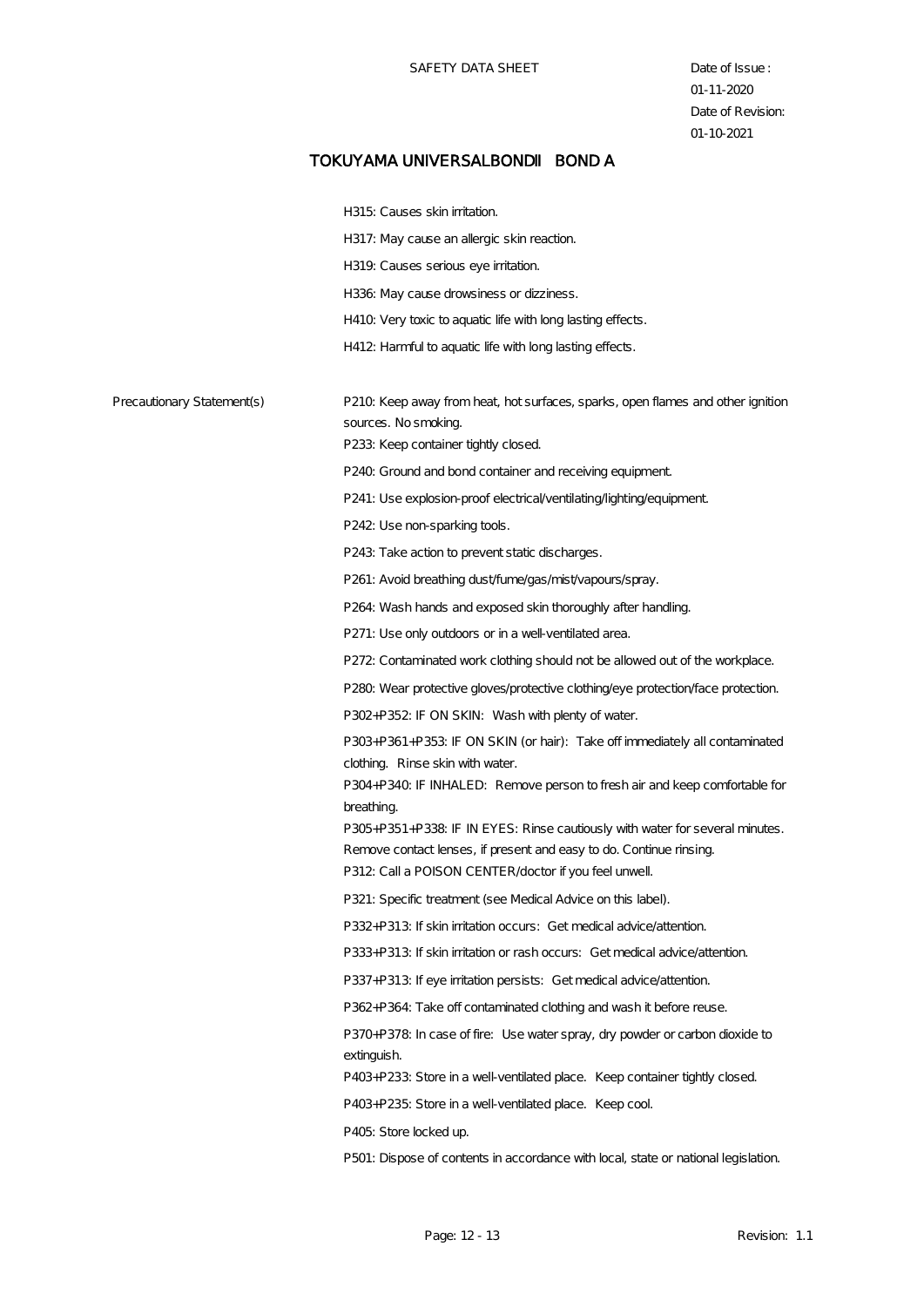|                            | H315: Causes skin irritation.                                                                                                                       |
|----------------------------|-----------------------------------------------------------------------------------------------------------------------------------------------------|
|                            | H317: May cause an allergic skin reaction.                                                                                                          |
|                            | H319. Causes serious eye initation.                                                                                                                 |
|                            | H336: May cause drowsiness or dizziness.                                                                                                            |
|                            | H410. Very toxic to aquatic life with long lasting effects.                                                                                         |
|                            | H412: Harmful to aquatic life with long lasting effects.                                                                                            |
|                            |                                                                                                                                                     |
| Precautionary Statement(s) | P210. Keep away from heat, hot surfaces, sparks, open flames and other ignition                                                                     |
|                            | sources. No smoking.                                                                                                                                |
|                            | P233 Keep container tightly closed.                                                                                                                 |
|                            | P240. Ground and bond container and receiving equipment.                                                                                            |
|                            | P241: Use explosion-proof electrical/ventilating/lighting/equipment.                                                                                |
|                            | P242: Use non-sparking tools.                                                                                                                       |
|                            | P243 Take action to prevent static discharges.                                                                                                      |
|                            | P261: Avoid breathing dust/fume/gas/mist/vapours/spray.                                                                                             |
|                            | P264: Wash hands and exposed skin thoroughly after handling.                                                                                        |
|                            | P271: Use only outdoors or in a well-ventilated area.                                                                                               |
|                            | P272: Contaminated work clothing should not be allowed out of the workplace.                                                                        |
|                            | P280. Wear protective gloves/protective clothing/eye protection/face protection                                                                     |
|                            | P302+P352: IF ON SKIN: Wash with plenty of water.                                                                                                   |
|                            | P303+P361+P353: IF ON SKIN (or hair): Take off immediately all contaminated                                                                         |
|                            | clothing. Rinse skin with water.                                                                                                                    |
|                            | P304+P340. IF INHALED: Remove person to fresh air and keep comfortable for                                                                          |
|                            | breathing.                                                                                                                                          |
|                            | P305+P351+P338: IF IN EYES: Rinse cautiously with water for several minutes.<br>Remove contact lenses, if present and easy to do. Continue rinsing. |
|                            | P312: Call a POISON CENTER/doctor if you feel unwell                                                                                                |
|                            | P321: Specific treatment (see Medical Advice on this label).                                                                                        |
|                            | P332+P313: If skin initation occurs: Get medical advice/attention.                                                                                  |
|                            | P333+P313: If skin initation or rash occurs: Get medical advice/attention.                                                                          |
|                            | P337+P313: If eye initation persists: Get medical advice/attention.                                                                                 |
|                            | P362+P364: Take off contaminated clothing and wash it before reuse.                                                                                 |
|                            | P370+P378: In case of fire: Use water spray, dry powder or carbon dioxide to                                                                        |
|                            | extinguish.                                                                                                                                         |
|                            | P403+P233: Store in a well-ventilated place. Keep container tightly closed.                                                                         |
|                            | P403+P235: Store in a well-ventilated place. Keep cool.                                                                                             |
|                            | P405: Store locked up.                                                                                                                              |
|                            | P501: Dispose of contents in accordance with local, state or national legislation.                                                                  |
|                            |                                                                                                                                                     |